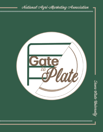# National Agri-Marketing Association .



Sana Utate Un Iowa State University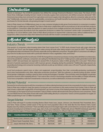## *<u>Ontroduction</u>*

There's no denying it. The COVID-19 pandemic has shifted the average American's lifestyle in many ways. The future of food faces three challenges including farmers' needs to innovate, supply chain evolvement, and shifted consumer demands.<sup>13</sup> With Americans becoming more removed from agriculture and recent supply chain disruptions, direct-to-consumer sales are on the rise.18 Additionally, consumers' value for sustainability, convenience, and health benefits has remained top of mind while making purchases for the last decade, only growing stronger in recent years.14

Gate to Plate, based out of Williamsburg, Iowa, is a new company bringing locally grown food products to consumers in eastern Iowa through a mobile app and website. The Gate to Plate team collaborates with local producers to list and sell their products on the platform. Consumers utilize the platform to select products from multiple producers and checkout on one receipt. Gate to Plate then procures all products from the respective producers to deliver the consumer's entire order conveniently to their doorstep or at a local delivery point. Gate to Plate allows producers to expand their customer base, without additional labor or equipment, while consumers enjoy their desired local foods with the modern convenience of delivery service.

## Market Analysis

## *Industry Trends*

One-quarter of consumers value knowing where their food comes from.14 A 2020 study showed foods with origin claims like "artisanal" and "local" saw the largest growth in sales among all foods after being named a hot trend for 2021.13 The pandemic strengthened sales and interest in local foods, especially among millennial consumers.7 Roughly 86% of consumers are willing to pay more for locally-source foods with a particular interest in meat, vegetables, fruits, and honey.<sup>9</sup>

Even with the growing trend for local foods, COVID-19 changed how consumers purchase, moving online with little to no interaction, and as the pandemic continues, consumers are opting for this lifestyle long term.<sup>8</sup> Online grocery sales generated nearly \$8.5 billion in 2021<sup>3</sup> and purchases are expected to exceed 15% of all grocery sales in 2022, growing 5% in one year.<sup>2</sup> Thirty-three percent of parents expressed concern with in-person grocery shopping during the pandemic.14 Additionally, large grocers are expanding technology and consumer-receiving methods as pick-up and delivery orders saw a 2% and 7% growth, respectively, in the last year.<sup>3</sup>

Local food producers spend more on labor and equipment, proportionately, than their commodity-producing counterparts due to less mechanization and, often, alternative production practices.<sup>17</sup> With the outbreak, an already lacking ag labor market faced greater challenges, creating a need for labor-saving technologies, if feasible.<sup>5</sup> Time and labor were the biggest constraints producers faced in their marketing efforts.<sup>10</sup> Farm size is also a factor in technology adoption and the ability to market efficiently. To be more competitive, multi-farm investments in resources, as well as distribution, increase economies of scale.15

## *Market Potential*

Demand for local food products with the convenience of online ordering has been proven to be a necessity for today's consumers. Gate to Plate was created to meet the needs of producers and consumers in this newly evolved food market. Gate to Plate will start in Iowa, a state with roughly 90% of food imported<sup>6</sup>, yet, home to some of the fastest-growing cities for millennials in the U.S. start in lowa, a state with roughly 90% of food imported<sup>6</sup>, yet, home to some of the fastest-growing cities for millennials in the U.S.<br><sup>11</sup> and leaders of the hyper-local food movement.<sup>1</sup> Gate to Plate's market will inc are over 86,100 farms in the state of Iowa with nearly 2,600 selling directly to consumers.4 Iowa's current population is roughly 3.2 million people living in over 1.2 million households.<sup>16</sup>

## *Target Market*

Gate to Plate will target 11 counties including Benton, Black Hawk, Iowa, Jasper, Johnson, Linn, Marshall, Polk, Poweshiek, Story, and Tama. These counties contain seven of the top ten most populated cities in the state like the Des Moines metro, Cedar Rapids, Iowa City, Ankeny, and Ames.12 There are 588 producers in the target region with current direct-to-consumer sales of food products including but not limited to meat, eggs, dairy, fruits, and vegetables.<sup>4</sup> Additionally, almost 788,000 individuals aged 19 to 65 live within this region. Of these individuals, Gate to Plate will be marketed to affluent millennials and Generation X.16

| Year | <b>Counties (Added by Year)</b> | <b>Targeted</b><br><b>Producers</b> | Producer<br>Subscriptions | <b>Targeted</b><br><b>Consumers</b> | Number of Consumer<br>Subscriptions | Consumer<br><b>Subscriptions</b> |
|------|---------------------------------|-------------------------------------|---------------------------|-------------------------------------|-------------------------------------|----------------------------------|
|      | Benton, Iowa, Johnson, Linn     | 25                                  | 12,261.65                 | 2,678                               | 1,071                               | 449,820.00                       |
|      | Black Hawk, Poweshiek, Tama     | 51                                  | 25,475.92                 | 3,689                               | 1,476                               | 619,920.00                       |
|      | Jasper, Marshall, Polk, Story   | 118                                 | 58,173.39                 | 7,877                               | 3,151                               | 1,323,420.00                     |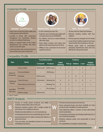## *Customer Profile*



#### Nebullam - *Local Producer*

- » Indoor farm producing high-quality and fresh greens and tomatoes
- » Located in Ames with customers throughout the Ames/Des Moines corridor to maintain freshness
- » Seeks to expand sales to the Cedar Rapids/Iowa City corridor and other areas across the state
- » Lacks the labor, time, and resources to service this new area on their own



#### Shane & Sara - *Spunky Millennials*

- » In 30's and living in Iowa City
- » Engineer and marketing specialist with a household income of \$120,000
- » No children, but live an active lifestyle with their dogs
- » Enjoy being creative and trying new dishes when preparing food at home
- » Willing to pay a premium for local and organic products



### Beth - *The Busy Mom*

- » 45 year old from West Des Moines
- » Married, working mother with four children
- » Primary grocery shopper for her family
- » Loves fresh, healthy meals for her busy, active family who is always on-the-go
- » Places great value in convenient shopping experiences since she has little time to shop each week

|                    | <b>Name</b>                    | Fees/Subscription |                     | <b>Features</b>    |            |                 |            |                                     |
|--------------------|--------------------------------|-------------------|---------------------|--------------------|------------|-----------------|------------|-------------------------------------|
| <b>Type</b>        |                                | Consumer          | Producer            | Online<br>Ordering | Pick-up    | <b>Delivery</b> | Local      | <b>Multiple</b><br><b>Producers</b> |
|                    | <b>Gate to Plate</b>           | \$35/month        | $$250+$ /year       | $\sqrt{}$          | $\sqrt{ }$ | $\sqrt{}$       | $\sqrt{ }$ | V                                   |
| Direct-to-         | <b>Farmers Market</b>          |                   | \$500/year          |                    | $\sqrt{}$  |                 | $\sqrt{}$  |                                     |
| Consumer           | <b>CSA Box</b>                 | \$120/month       |                     |                    | $\sqrt{ }$ | ♦               | $\sqrt{ }$ |                                     |
| <b>Traditional</b> | <b>Chain Grocery</b>           | \$13/month        | <b>Slotting Fee</b> | ♦                  | ♦          | ♦               | ♦          | V                                   |
| Grocer             | <b>Specialty/Local Grocery</b> | ---               | <b>Slotting Fee</b> | ♦                  | ♦          |                 | $\sqrt{ }$ | V                                   |
| App/Web            | GrownBy                        |                   | 5% of Sales         | $\sqrt{ }$         | $\sqrt{ }$ |                 | $\sqrt{}$  |                                     |
| <b>Services</b>    | <b>Delivery Apps</b>           | \$40/month        |                     |                    |            |                 |            |                                     |

## *Competitor Profile*

 $\sqrt{ }$  = yes,  $\Diamond$  = some

### *SWOT Analysis*

|  | » Access to locally grown products and ability to<br>maintain relationships with producers<br>» App/web ordering system with a single receipt for<br>purchases from multiple producers |  | » Premium priced products and service                   |  |  |
|--|----------------------------------------------------------------------------------------------------------------------------------------------------------------------------------------|--|---------------------------------------------------------|--|--|
|  |                                                                                                                                                                                        |  | » Some seasonal foods and short shelf-life for fresh    |  |  |
|  |                                                                                                                                                                                        |  | products with variability in weekly demand              |  |  |
|  |                                                                                                                                                                                        |  | » Only delivering within a section of lowa with limited |  |  |
|  | » Weekly doorstep delivery or communal pick-up                                                                                                                                         |  | brand awareness                                         |  |  |
|  | » Growing demand for local, sustainably grown foods                                                                                                                                    |  | » Consumers resorting to purchasing methods prior to    |  |  |
|  | » Increased demand for online ordering with delivery or                                                                                                                                |  | the COVID-19 pandemic                                   |  |  |
|  | pick-up services                                                                                                                                                                       |  | » Weather, disease, pests, and seasonality of some      |  |  |
|  | » Time and labor are identified barriers for increased                                                                                                                                 |  | products                                                |  |  |
|  | marketing of products                                                                                                                                                                  |  | » Pre-established competitor relationships              |  |  |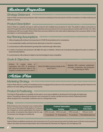## Business Proposition

#### *Strategy Statement*

Gate to Plate connects Iowa producers with consumers seeking local food products and the convenience of online ordering and delivery or pick-up.

## *Product Description*

Gate to Plate is a website and app in which producers list available food products for sale. The platform allows consumers to search through all producer-listed products selecting various products from as many producers as they wish for their cart. After checking out, with one receipt, Gate to Plate then procures all items in the order before delivering to the consumer either to their doorstep or a communal pick-up point.

#### *Key Planning Assumptions* Ш ,,,,,,,,,,,,,,,,,,,,,,,,,,,,,,,

- 1. Online shopping will continue to increase due to COVID-19 and preference for convenience.
- 2. Local, sustainable, healthy, and fresh foods will remain on-trend for consumers.
- 3. Local producers will be interested in growing their market through online sales.
- 4. A variety of products and producers will utilize the app to maintain a diverse set of products throughout the year to combat on seasonal subscriptions.
- 5. Local producers will continue to adapt to new technologies to stay competitive.

### *Goals & Objectives*

Achieve 1% market share of consumers and 20% of producers with direct-to-consumer sales in the targeted counties by the end of year 3.

Reach \$1 million in gross margin by the end of year 3.

Maintain 95% customer satisfaction amongst consumers and producers while striving for 100%.



## *Marketing Strategy*

Gate to Plate will use a variety of marketing tactics to engage both producers and consumers to generate greater interest in the platform for both selling and buying local products.

#### *Product & Positioning*

The Gate to Plate platform is available via the web or as an app available for download in the Google and Apple app stores. The platform allows both producers and consumers to create a profile and track activity. Delivered product will be dropped off in recyclable containers and on a refrigerated truck.

#### *Price* ниши  $111111111$

Both producers and consumers pay a subscription fee for use of the Gate to Plate platform. Producers are charged an annual subscription fee based on the number of products they intend to list for sale. Consumers are charged a monthly fee.

|                                   | <b>Producer Subscription</b> | Consumer<br>Subscription |                |                       |
|-----------------------------------|------------------------------|--------------------------|----------------|-----------------------|
| <b>Seedling</b><br><b>Budding</b> |                              |                          |                | <b>Harvesting</b>     |
|                                   | \$250 annually               | \$500 annually           | \$750 annually | \$35 per month        |
|                                   | 1-5 products                 | 6 - 10 products          | 11+ products   | Free delivery/pick-up |

### *Place*

Gate to Plate is available to producers and consumers in an 11 county area in Iowa which includes seven of the ten most populated cities in the state and easy transportation due to Interstate 80, Interstate 35, Highway 30, and Highway 218.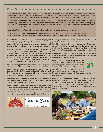### *Promotions*

**Producer Success Specialist:** Producer Success Specialists are responsible for producer relationships. These specialists will on-board producers, manage product listings, maintain satisfaction, and be responsible for weekly product pick up. In year 1, one specialist will be hired followed by a second specialist in year 2. Two additional specialists will be hired in year 3.

**Customer Success Specialist:** Customer Success Specialists will be the face of Gate to Plate, connecting with consumers and ensuring satisfaction. Besides handling consumer sales, these specialists will pack orders, handle delivery and pick-up services, and maintain consumer satisfaction. In year 1, two customer success specialists will be hired while adding one new specialist in years 3 and 4, respectively.

**Marketing Manager:** A marketing manager will be hired in year 1 to create and lead all marketing efforts.

**Customer Relationship Management (CRM) System:** Both Producer Success Specialists and Customer Success Specialists will utilize a CRM system for prospecting as well as to maintain relationships and monitor satisfaction.

**Social Media**: Gate to Plate will use Facebook, Instagram, and Youtube to highlight products, producers and their operations, customer testimonials, and more. Targeted advertisements will also run on these platforms to grow consumer subscriptions.

**Email Blasts:** A series of email communications will be sent on behalf of the Producer Success Specialists to our partnering producers to communicate company news, share success stories of other producers, and to provide tips or best practices. Additionally, monthly emails will be sent to prospective and current consumer subscribers highlighting our partner producers, new products, company news, and more.

**Website and App:** The company website and app will provide information about the Gate to Plate service as well as content about partnering producers, recipe suggestions, and ordering tutorials. Additionally, the website and app will contain a portal for both consumers and producers to log into to place orders or view order information, respectively.

**Consumer Trial Discount:** To encourage customers to join the platform, 15% off the first month's subscription fee will offered to new users in their first month.

**Food Festivals:** To reach customers where they are, Gate to Plate will be attending a variety of local food festivals in targeted regions during all three years. At each event, Gate to Plate will partner with a local producer in the region to showcase their products in a fun and interactive way with festival attendees.



TAKE A BITE

A FESTIVAL FOR FOODIES

**Cooking Classes:** To educate consumers on the use of products sold through Gate to Plate, cooking classes will be held regionally. Each class will feature a guest cook such as professional chefs or culinary specialist as well as the producers of products used in the class. Courses will be recorded and featured in the monthly email blasts and website.

**#LocalLiving Project:** During September, 10% of sales will be collected to be donated for low-income schools to purchase local foods for their lunch programs.

**Iowa Local Food Day: During the second** week of October, Gate to Plate staff and partnering producers will visit local schools in honor of Iowa Local Food Day to teach students about food production in their communities. As an added bonus, Gate to



Plate will be donating food products to students to share with their families.

**Farm Gate to Dinner Plate Celebration:** Each year, a dinner to connect producers and consumers will be hosted at a partnering producer's farm. A meal will be prepared by a local chef utilizing partnering producer products. Local press will also be invited to the event as the recipients of the #LocalLiving Project will be named.

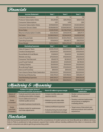

| <b>Income Statement</b>                      | Year1             | Year <sub>2</sub> | Year <sub>3</sub> |
|----------------------------------------------|-------------------|-------------------|-------------------|
| <b>Producer Subscriptions</b>                | 25                | 51                | 118               |
| <b>Producer Subscription Sales</b>           | \$12,261.65       | \$25,475.92       | \$58,173.39       |
| <b>Consumer Subscriptions</b>                | 1,071             | 1,476             | 3,151             |
| <b>Consumer Subscription Sales</b>           | \$449,820.00      | \$619,920.00      | \$1,323,420.00    |
| <b>Consumer Grocery Sales</b>                | \$1,156,680.00    | \$1,594,080.00    | \$3,403,080.00    |
| <b>Gross Sales</b>                           | \$1,618,761.65    | \$2,239,475.92    | \$4,784,673.39    |
| <b>Returns &amp; Subscription Credits</b>    | \$32,352.62       | \$44,534.76       | \$95,111.73       |
| <b>Net Sales</b>                             | \$1,586,509.03    | \$2,194,941.16    | \$4,689,561.66    |
| <b>Cost of Goods Sold</b>                    | \$1,098,846.00    | \$1,514,376.00    | \$3,232,926.00    |
| <b>Operating Expenses</b>                    | \$15,624.00       | \$16,092.72       | \$16,575.50       |
| <b>Gross Margin</b>                          | \$472,039.03      | \$664,472.44      | \$1,440,060.15    |
| <b>Marketing Expenses</b>                    | Year <sub>1</sub> | Year <sub>2</sub> | Year <sub>3</sub> |
| <b>Sales &amp; Support Team</b>              | \$335,370.29      | \$467,033.14      | \$660,246.31      |
| <b>Creative Development</b>                  | \$10,000.00       | \$12,000.00       | \$15,000.00       |
| Social Media & Email Blasts                  | \$1,824.00        | \$1,941.00        | \$3,299.55        |
| <b>Website and App</b>                       | \$75,000.00       | \$15,000.00       | \$15,000.00       |
| <b>Consumer Trial Discount</b>               | \$5,622.75        | \$2,126.25        | \$8,793.75        |
| <b>Local Foods Festival</b>                  | \$3,920.00        | \$1,840.00        | \$2,760.00        |
| <b>Cooking Classes</b>                       |                   |                   |                   |
|                                              | \$3,000.00        | \$4,500.00        | \$10,500.00       |
| #LocalLiving Project                         | \$9,639.00        | \$13,284.00       | \$28,359.00       |
| <b>Iowa Local Food Day</b>                   | \$600.00          | \$900.00          | \$1,500.00        |
| <b>Farm Gate to Dinner Plate Celebration</b> | \$10,000.00       | \$15,000.00       | \$20,000.00       |
| <b>Monitoring &amp; Measuring</b>            | \$32,375.23       | \$44,789.52       | \$95,693.47       |
| <b>Total Marketing Expenses</b>              | \$487,351.27      | \$578,413.91      | \$861,152.08      |

## Monitoring & Measuring

|                                       | Achieve 1% market share of<br>consumers and 20% of producers                                  | Reach \$1 million in gross margin                                                                           | Maintain 95% customer<br>satisfaction                                                |
|---------------------------------------|-----------------------------------------------------------------------------------------------|-------------------------------------------------------------------------------------------------------------|--------------------------------------------------------------------------------------|
| Means of<br><b>Analysis</b>           | » Evaluate quarterly sales reports<br>including subscription changes                          | » Analyze monthly sales and<br>expense reports                                                              | » Monitor various sources of<br>feedback                                             |
| Goals<br><b>Exceeded</b>              | » Invest additional revenue to<br>maintain quality service<br>» Consider business investments | » Maintain current sales while<br>considering early expansion                                               | » Develop customer testimonials<br>and producer to highlight in<br>marketing efforts |
| Goals<br>Less than<br><b>Exceeded</b> | » Analyze market for weaknesses<br>and make adjustments                                       | » Address inefficient expenses<br>» Evaluate pricing structure, target<br>market, and distribution strategy | » Target areas of discontent and<br>improve producer and customer<br>experiences     |

## Conclusion

With the increased demand for local foods and the conveniences of modern grocery services like pick-up or delivery services, Gate to Plate is positioned to help producers expand their market, without needing additional time, labor or resources, while today's consumers are able to get the groceries they prefer.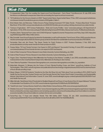

- 1. "6 Unexpected Cities That Are Leading the Hyper-Local Food Movement Farm Flavor." Farmflavor.com, 10 July 2019, www. farmflavor.com/lifestyle/6-unexpected-cities-that-are-leading-the-hyper-local-food-movement/.
- 2. "10 Predictions for the Grocery Industry in 2022." Supermarket News, Supermarket News, 17 Dec. 2021, www.supermarketnews. com/issues-trends/10-predictions-grocery-industry-2022/gallery?slide=1.
- 3. Brick Meets Click, and Mercatus. "Online Grocery Pickup Defying Downward YOY Sales Trends Produce Blue Book." Produce Blue Book, 14 Feb. 2022, www.producebluebook.com/2022/02/14/online-grocery-pickup-defying-downward-yoy-sales-trends/.
- 4. "Census of Agriculture 2017 Census Publications State and County Profiles Iowa." www.nass.usda.gov, US Department of Agriculture, 13 Feb. 2019, www.nass.usda.gov/Publications/AgCensus/2017/Online\_Resources/County\_Profiles/Iowa/index.php.
- 5. Charlton, Diane. "Seasonal Farm Labor and COVID-19 Spread." Applied Economic Perspectives and Policy, Sept. 2021, https://doi. org/10.1002/aepp.13190. Wiley Online Library.
- 6. Eller, Donnelle. "Iowa Group Protects Farmland for Sustainable, Local Food Production." Farm Forum, 31 Dec. 2020, www.farmforum. net/story/news/agriculture/2020/12/31/iowa-group-protects-farmland-for-sustainable-local-food-production/115733934/.
- 7. Fernandez, Raul, and Jim Prevor. "Top Seven Trends for Fresh Produce in 2021." Produce Business, 2 Feb. 2021, www. producebusiness.com/top-seven-trends-for-fresh-produce-in-2021/.
- 8. Freese, Betsy. "15 Food Trends Farmers Can Expect in 2021 and Beyond." Successful Farming, 14 June 2021, www.agriculture. com/news/business/15-food-trends-farmers-can-expect-in-2021-and-beyond.
- 9. Gate to Plate Consumer Primary Research. Iowa State University Cyclone Marketing, Jan. 2022.
- 10. Gate to Plate Producer Primary Research. Iowa State University Cyclone Marketing, Jan. 2022.
- 11. Hogan, Clara. "Heartland Hotspot: Why Millennials Are Flocking to Des Moines." Livability, 5 Jan. 2018, www.livability.com/ia/desmoines/where-to-live-now/heartland-hotspot-why-millennials-are-flocking-to-des-moines/.
- 12. "Iowa Cities by Population." Www.iowa-Demographics.com, www.iowa-demographics.com/cities\_by\_population.
- 13. Malochleb, Margaret. "A Glimpse into the Future of Food, Climate-Proofing Crops, and More." www.ift.org, Institute of Food Technologists, 1 Mar. 2022, www.ift.org/news-and-publications/food-technology-magazine/issues/2022/march/columns/futureof-food-climate-proofing-crops.
- 14. Meyer, Megan. COVID-19 Pandemic Transforms the Way We Shop, Eat and Think about Food, according to IFIC's 2020 Food & Health Survey Survey Also Tracked Trends over Past Decade; Recent Diet Trends, Plant Protein Consumption and Sustainability Interest. International Food Information Council, 10 June 2020, www.foodinsight.org/wp-content/uploads/2020/06/2020-Foodand-Health-Survey-.pdf.
- 15. Miller, Michelle. "Identifying Critical Thresholds for Resilient Regional Food Flows: A Case Study of the U.S. Upper Midwest." Frontiers in Sustainable Food Systems, 22 Oct. 2021, www.frontiersin.org/articles/10.3389/fsufs.2021.684159/full.
- 16. "QuickFacts: Iowa." Census Bureau QuickFacts, United States Census Bureau, 2018, www.census.gov/quickfacts/IA.
- 17. Shideler, Dave, et al. "Choices Magazine Online." www.choicesmagazine.org, 2018, www.choicesmagazine.org/choices-magazine/ theme-articles/the-promise-expectations-and-remaining-questions-about-local-foods/putting-local-food-dollars-to-work-theeconomic-benefits-of-local-food-dollars-to-workers-farms-and-communities.
- 18. Turow-Paul, Eve. "7 Food and Lifestyle Trends That Will Define 2021." Forbes, 25 Jan. 2021, www.forbes.com/sites/ eveturowpaul/2021/01/05/7-food-and-lifestyle-trends-that-will-define-2021/?sh=6d2386ed6c6b.